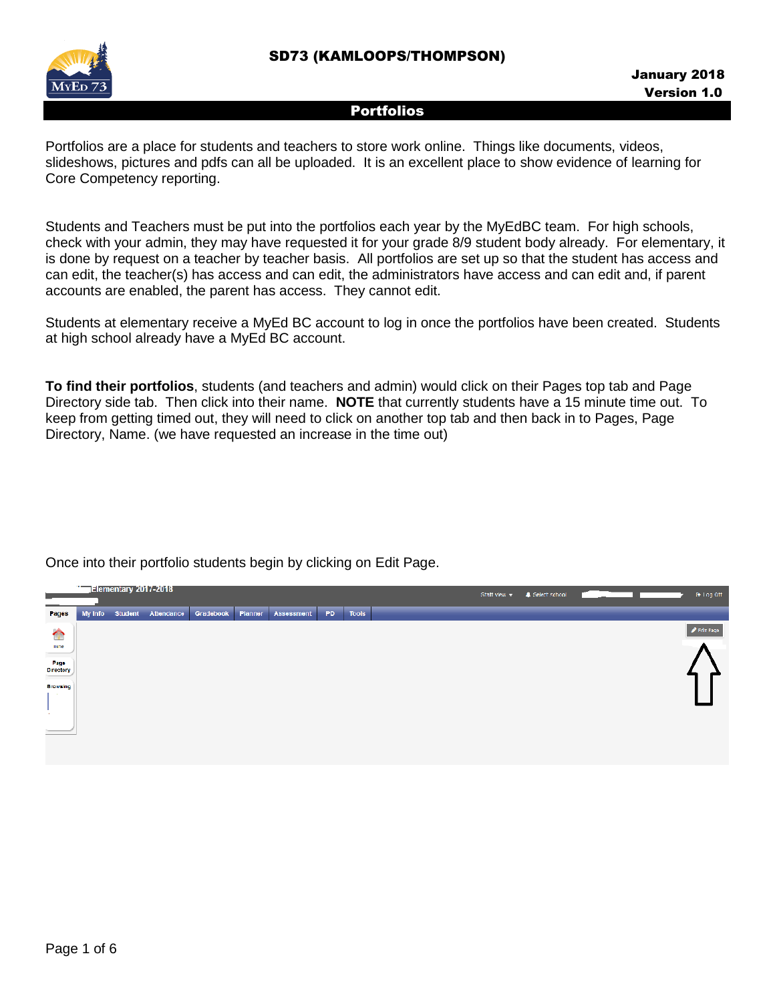

Portfolios are a place for students and teachers to store work online. Things like documents, videos, slideshows, pictures and pdfs can all be uploaded. It is an excellent place to show evidence of learning for Core Competency reporting.

Students and Teachers must be put into the portfolios each year by the MyEdBC team. For high schools, check with your admin, they may have requested it for your grade 8/9 student body already. For elementary, it is done by request on a teacher by teacher basis. All portfolios are set up so that the student has access and can edit, the teacher(s) has access and can edit, the administrators have access and can edit and, if parent accounts are enabled, the parent has access. They cannot edit.

Students at elementary receive a MyEd BC account to log in once the portfolios have been created. Students at high school already have a MyEd BC account.

**To find their portfolios**, students (and teachers and admin) would click on their Pages top tab and Page Directory side tab. Then click into their name. **NOTE** that currently students have a 15 minute time out. To keep from getting timed out, they will need to click on another top tab and then back in to Pages, Page Directory, Name. (we have requested an increase in the time out)



Once into their portfolio students begin by clicking on Edit Page.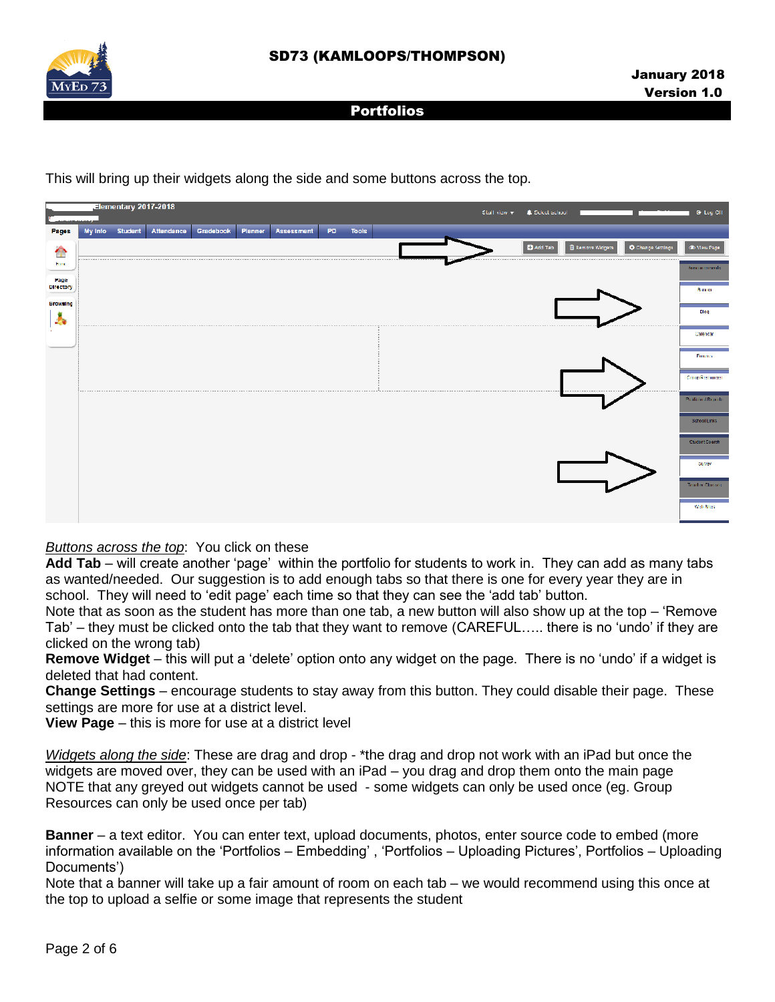

Elementary 2017-2018 Stall view -**A** Select schoo **C**+ Log O Student Attendance Gradebook Planner Assessment PD Pages My Info **D** Add Tab **Browsing** y, Entrance **Miched Repo** Web Stee

This will bring up their widgets along the side and some buttons across the top.

# *Buttons across the top*: You click on these

**Add Tab** – will create another 'page' within the portfolio for students to work in. They can add as many tabs as wanted/needed. Our suggestion is to add enough tabs so that there is one for every year they are in school. They will need to 'edit page' each time so that they can see the 'add tab' button.

Note that as soon as the student has more than one tab, a new button will also show up at the top – 'Remove Tab' – they must be clicked onto the tab that they want to remove (CAREFUL….. there is no 'undo' if they are clicked on the wrong tab)

**Remove Widget** – this will put a 'delete' option onto any widget on the page. There is no 'undo' if a widget is deleted that had content.

**Change Settings** – encourage students to stay away from this button. They could disable their page. These settings are more for use at a district level.

**View Page** – this is more for use at a district level

*Widgets along the side*: These are drag and drop - \*the drag and drop not work with an iPad but once the widgets are moved over, they can be used with an iPad – you drag and drop them onto the main page NOTE that any greyed out widgets cannot be used - some widgets can only be used once (eg. Group Resources can only be used once per tab)

**Banner** – a text editor. You can enter text, upload documents, photos, enter source code to embed (more information available on the 'Portfolios – Embedding' , 'Portfolios – Uploading Pictures', Portfolios – Uploading Documents')

Note that a banner will take up a fair amount of room on each tab – we would recommend using this once at the top to upload a selfie or some image that represents the student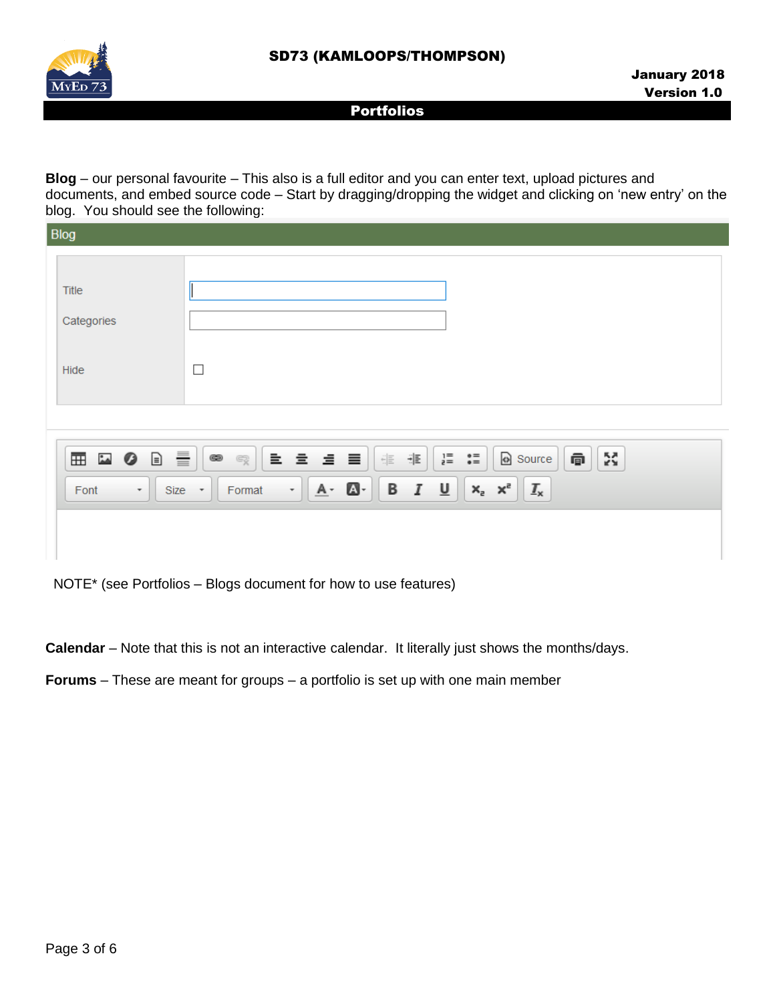

**Blog** – our personal favourite – This also is a full editor and you can enter text, upload pictures and documents, and embed source code – Start by dragging/dropping the widget and clicking on 'new entry' on the blog. You should see the following:

| Blog                                         |                                                                                                                                    |  |  |  |  |
|----------------------------------------------|------------------------------------------------------------------------------------------------------------------------------------|--|--|--|--|
|                                              |                                                                                                                                    |  |  |  |  |
| Title                                        |                                                                                                                                    |  |  |  |  |
| Categories                                   |                                                                                                                                    |  |  |  |  |
|                                              |                                                                                                                                    |  |  |  |  |
| Hide                                         | $\Box$                                                                                                                             |  |  |  |  |
|                                              |                                                                                                                                    |  |  |  |  |
|                                              |                                                                                                                                    |  |  |  |  |
| 亖<br>$\Box$<br>⊞ ⊡ ⊘                         | ŽŠ.<br>Source<br>重量量量<br>$2 = 2 = 6$<br>@<br>非<br>$\frac{c}{\Box} \frac{c}{\Box}$<br>$\circledast$<br>$\mathbb{F}^3_{{\mathbb X}}$ |  |  |  |  |
| Font<br>$Size -$<br>$\overline{\phantom{a}}$ | $x_a$ $x^2$<br>$\underline{\mathsf{u}}$<br>$A - B$<br>В<br>$\mathcal{I}$<br>$I_{\mathsf{x}}$<br>$^\star$<br>Format                 |  |  |  |  |
|                                              |                                                                                                                                    |  |  |  |  |
|                                              |                                                                                                                                    |  |  |  |  |

NOTE\* (see Portfolios – Blogs document for how to use features)

**Calendar** – Note that this is not an interactive calendar. It literally just shows the months/days.

**Forums** – These are meant for groups – a portfolio is set up with one main member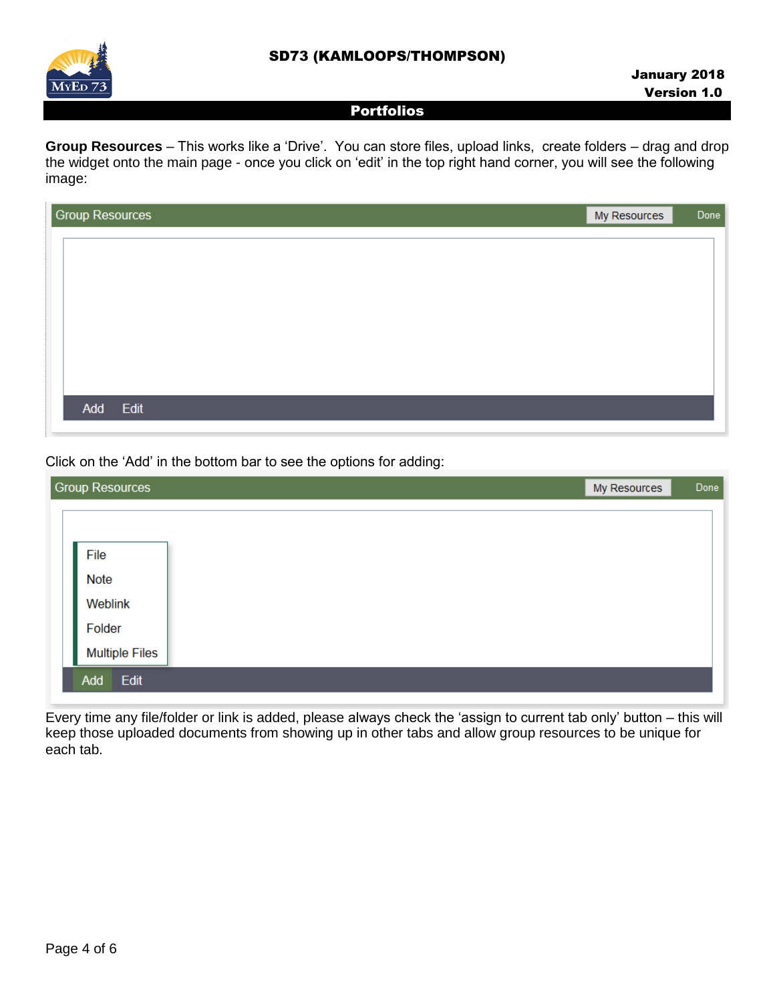# SD73 (KAMLOOPS/THOMPSON)



# Portfolios

**Group Resources** – This works like a 'Drive'. You can store files, upload links, create folders – drag and drop the widget onto the main page - once you click on 'edit' in the top right hand corner, you will see the following image:

| <b>Group Resources</b> | My Resources | Done |
|------------------------|--------------|------|
|                        |              |      |
|                        |              |      |
|                        |              |      |
|                        |              |      |
|                        |              |      |
|                        |              |      |
|                        |              |      |
| Add Edit               |              |      |
|                        |              |      |

Click on the 'Add' in the bottom bar to see the options for adding:

| <b>Group Resources</b><br>My Resources |  | Done |
|----------------------------------------|--|------|
|                                        |  |      |
|                                        |  |      |
| File                                   |  |      |
| <b>Note</b>                            |  |      |
| Weblink                                |  |      |
| Folder                                 |  |      |
| <b>Multiple Files</b>                  |  |      |
| Edit<br>Add                            |  |      |
|                                        |  |      |

Every time any file/folder or link is added, please always check the 'assign to current tab only' button – this will keep those uploaded documents from showing up in other tabs and allow group resources to be unique for each tab.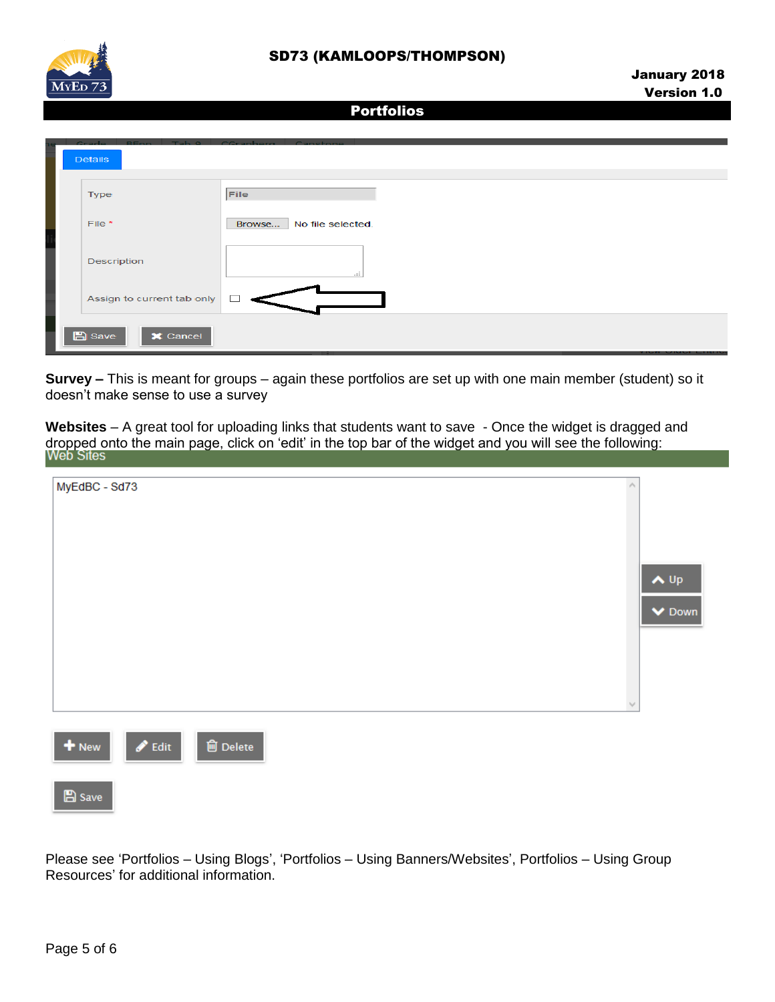

| Crade<br><b>DEnn</b><br><b>Details</b>        | Tab Q CCranberg Canctone    |
|-----------------------------------------------|-----------------------------|
| <b>Type</b>                                   | File                        |
| File *                                        | Browse<br>No file selected. |
| Description                                   | .::                         |
| Assign to current tab only                    |                             |
| $\mathbb{B}$ Save<br>$\mathsf{\times}$ Cancel |                             |

**Survey –** This is meant for groups – again these portfolios are set up with one main member (student) so it doesn't make sense to use a survey

**Websites** – A great tool for uploading links that students want to save - Once the widget is dragged and dropped onto the main page, click on 'edit' in the top bar of the widget and you will see the following:

| MyEdBC - Sd73 |                             |                               |
|---------------|-----------------------------|-------------------------------|
|               |                             | $\bigwedge$ Up<br>$\vee$ Down |
|               |                             |                               |
|               | $\mathcal{N}_{\mathcal{A}}$ |                               |



Please see 'Portfolios – Using Blogs', 'Portfolios – Using Banners/Websites', Portfolios – Using Group Resources' for additional information.